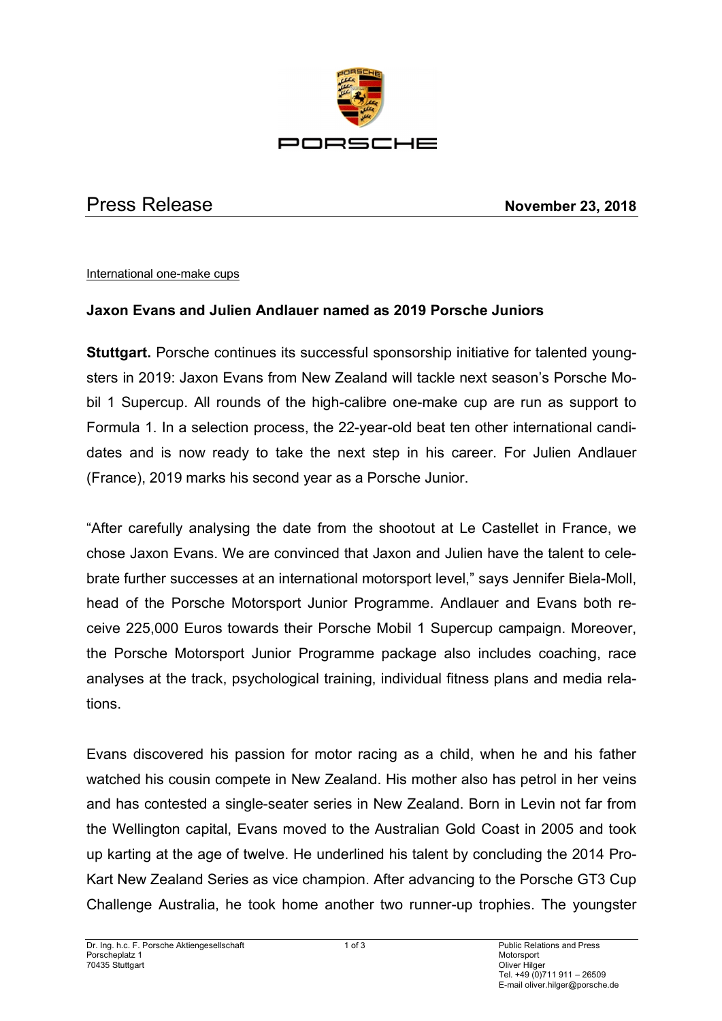

Press Release **November 23, 2018**

## International one-make cups

## **Jaxon Evans and Julien Andlauer named as 2019 Porsche Juniors**

**Stuttgart.** Porsche continues its successful sponsorship initiative for talented youngsters in 2019: Jaxon Evans from New Zealand will tackle next season's Porsche Mobil 1 Supercup. All rounds of the high-calibre one-make cup are run as support to Formula 1. In a selection process, the 22-year-old beat ten other international candidates and is now ready to take the next step in his career. For Julien Andlauer (France), 2019 marks his second year as a Porsche Junior.

"After carefully analysing the date from the shootout at Le Castellet in France, we chose Jaxon Evans. We are convinced that Jaxon and Julien have the talent to celebrate further successes at an international motorsport level," says Jennifer Biela-Moll, head of the Porsche Motorsport Junior Programme. Andlauer and Evans both receive 225,000 Euros towards their Porsche Mobil 1 Supercup campaign. Moreover, the Porsche Motorsport Junior Programme package also includes coaching, race analyses at the track, psychological training, individual fitness plans and media relations.

Evans discovered his passion for motor racing as a child, when he and his father watched his cousin compete in New Zealand. His mother also has petrol in her veins and has contested a single-seater series in New Zealand. Born in Levin not far from the Wellington capital, Evans moved to the Australian Gold Coast in 2005 and took up karting at the age of twelve. He underlined his talent by concluding the 2014 Pro-Kart New Zealand Series as vice champion. After advancing to the Porsche GT3 Cup Challenge Australia, he took home another two runner-up trophies. The youngster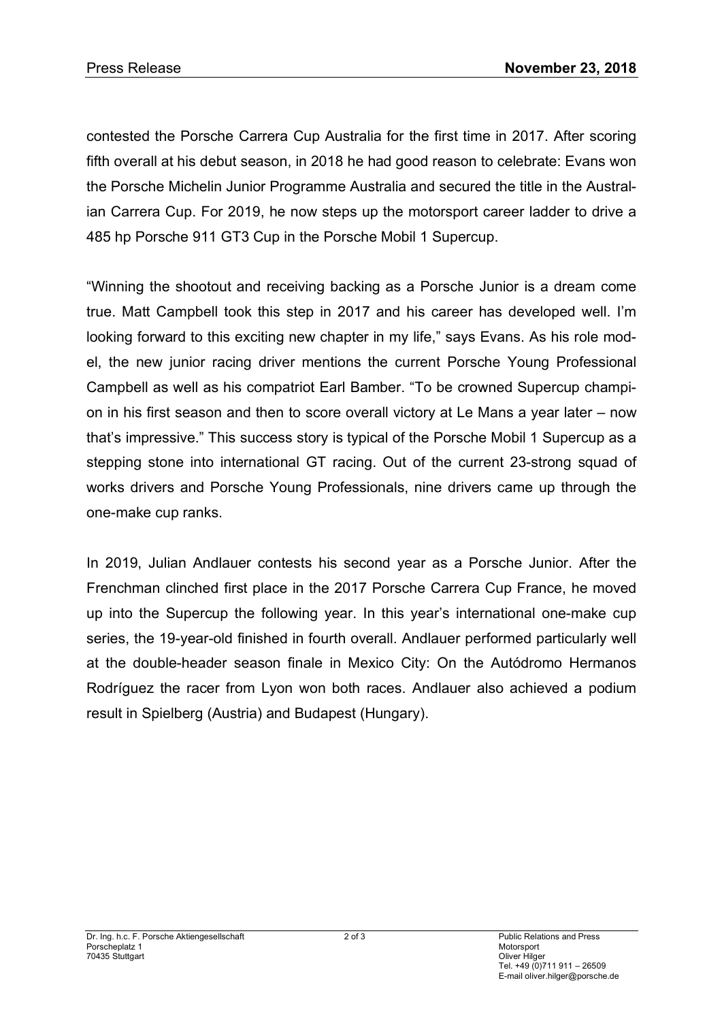contested the Porsche Carrera Cup Australia for the first time in 2017. After scoring fifth overall at his debut season, in 2018 he had good reason to celebrate: Evans won the Porsche Michelin Junior Programme Australia and secured the title in the Australian Carrera Cup. For 2019, he now steps up the motorsport career ladder to drive a 485 hp Porsche 911 GT3 Cup in the Porsche Mobil 1 Supercup.

"Winning the shootout and receiving backing as a Porsche Junior is a dream come true. Matt Campbell took this step in 2017 and his career has developed well. I'm looking forward to this exciting new chapter in my life," says Evans. As his role model, the new junior racing driver mentions the current Porsche Young Professional Campbell as well as his compatriot Earl Bamber. "To be crowned Supercup champion in his first season and then to score overall victory at Le Mans a year later – now that's impressive." This success story is typical of the Porsche Mobil 1 Supercup as a stepping stone into international GT racing. Out of the current 23-strong squad of works drivers and Porsche Young Professionals, nine drivers came up through the one-make cup ranks.

In 2019, Julian Andlauer contests his second year as a Porsche Junior. After the Frenchman clinched first place in the 2017 Porsche Carrera Cup France, he moved up into the Supercup the following year. In this year's international one-make cup series, the 19-year-old finished in fourth overall. Andlauer performed particularly well at the double-header season finale in Mexico City: On the Autódromo Hermanos Rodríguez the racer from Lyon won both races. Andlauer also achieved a podium result in Spielberg (Austria) and Budapest (Hungary).